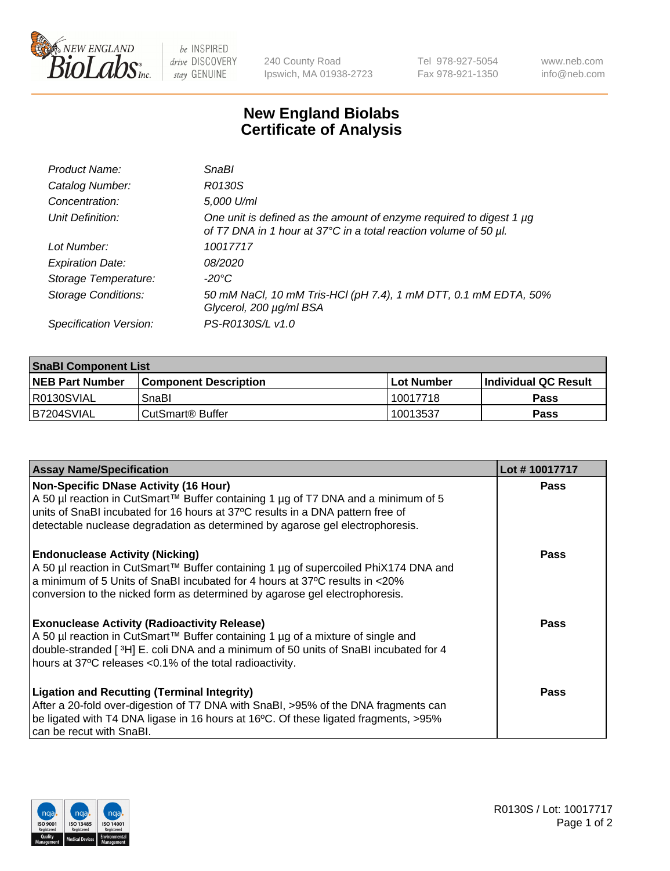

 $be$  INSPIRED drive DISCOVERY stay GENUINE

240 County Road Ipswich, MA 01938-2723 Tel 978-927-5054 Fax 978-921-1350 www.neb.com info@neb.com

## **New England Biolabs Certificate of Analysis**

| Product Name:              | <b>SnaBl</b>                                                                                                                            |
|----------------------------|-----------------------------------------------------------------------------------------------------------------------------------------|
| Catalog Number:            | R0130S                                                                                                                                  |
| Concentration:             | 5,000 U/ml                                                                                                                              |
| Unit Definition:           | One unit is defined as the amount of enzyme required to digest 1 µg<br>of T7 DNA in 1 hour at 37°C in a total reaction volume of 50 µl. |
| Lot Number:                | 10017717                                                                                                                                |
| <b>Expiration Date:</b>    | 08/2020                                                                                                                                 |
| Storage Temperature:       | -20°C                                                                                                                                   |
| <b>Storage Conditions:</b> | 50 mM NaCl, 10 mM Tris-HCl (pH 7.4), 1 mM DTT, 0.1 mM EDTA, 50%<br>Glycerol, 200 µg/ml BSA                                              |
| Specification Version:     | PS-R0130S/L v1.0                                                                                                                        |

| <b>SnaBI Component List</b> |                         |              |                             |  |
|-----------------------------|-------------------------|--------------|-----------------------------|--|
| <b>NEB Part Number</b>      | l Component Description | l Lot Number | <b>Individual QC Result</b> |  |
| R0130SVIAL                  | SnaBl                   | 10017718     | Pass                        |  |
| B7204SVIAL                  | l CutSmart® Buffer      | 10013537     | Pass                        |  |

| <b>Assay Name/Specification</b>                                                                                                                                                                                                                                                             | Lot #10017717 |
|---------------------------------------------------------------------------------------------------------------------------------------------------------------------------------------------------------------------------------------------------------------------------------------------|---------------|
| <b>Non-Specific DNase Activity (16 Hour)</b><br>A 50 µl reaction in CutSmart™ Buffer containing 1 µg of T7 DNA and a minimum of 5                                                                                                                                                           | Pass          |
| units of SnaBI incubated for 16 hours at 37°C results in a DNA pattern free of<br>detectable nuclease degradation as determined by agarose gel electrophoresis.                                                                                                                             |               |
| <b>Endonuclease Activity (Nicking)</b><br>A 50 µl reaction in CutSmart™ Buffer containing 1 µg of supercoiled PhiX174 DNA and<br>a minimum of 5 Units of SnaBI incubated for 4 hours at 37°C results in <20%<br>conversion to the nicked form as determined by agarose gel electrophoresis. | Pass          |
| <b>Exonuclease Activity (Radioactivity Release)</b><br>A 50 µl reaction in CutSmart™ Buffer containing 1 µg of a mixture of single and<br>double-stranded [3H] E. coli DNA and a minimum of 50 units of SnaBI incubated for 4<br>hours at 37°C releases <0.1% of the total radioactivity.   | Pass          |
| <b>Ligation and Recutting (Terminal Integrity)</b><br>After a 20-fold over-digestion of T7 DNA with SnaBI, >95% of the DNA fragments can<br>be ligated with T4 DNA ligase in 16 hours at 16°C. Of these ligated fragments, >95%<br>can be recut with SnaBl.                                 | Pass          |